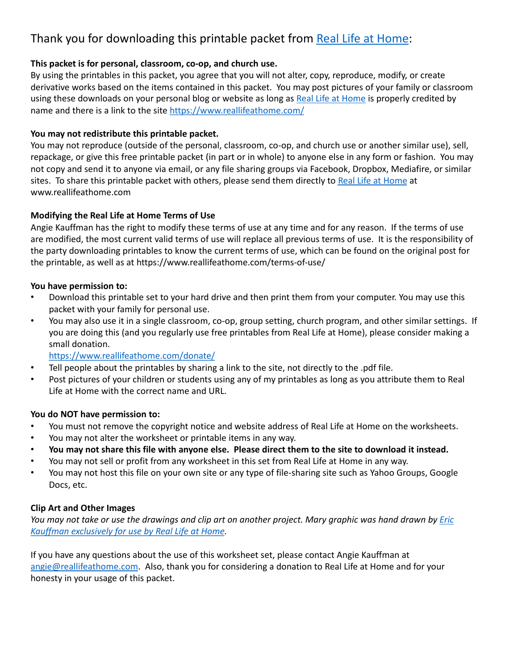# Thank you for downloading this printable packet fro[m Real Life at Hom](http://www.reallifeathome.com/)e:

## **This packet is for personal, classroom, co-op, and church use.**

By using the printables in this packet, you agree that you will not alter, copy, reproduce, modify, or create derivative works based on the items contained in this packet. You may post pictures of your family or classroom using these downloads on your personal blog or website as long [as Real Life at Hom](http://www.reallifeathome.com/)e is properly credited by name and there is a link to the s[ite https://www.reallifeathome.com](https://www.reallifeathome.com/)/

### **You may not redistribute this printable packet.**

You may not reproduce (outside of the personal, classroom, co-op, and church use or another similar use), sell, repackage, or give this free printable packet (in part or in whole) to anyone else in any form or fashion. You may not copy and send it to anyone via email, or any file sharing groups via Facebook, Dropbox, Mediafire, or similar sites. To share this printable packet with others, please send them directly [to Real Life at Hom](http://www.reallifeathome.com/)e at www.reallifeathome.com

## **Modifying the Real Life at Home Terms of Use**

Angie Kauffman has the right to modify these terms of use at any time and for any reason. If the terms of use are modified, the most current valid terms of use will replace all previous terms of use. It is the responsibility of the party downloading printables to know the current terms of use, which can be found on the original post for the printable, as well as at https://www.reallifeathome.com/terms-of-use/

### **You have permission to:**

- Download this printable set to your hard drive and then print them from your computer. You may use this packet with your family for personal use.
- You may also use it in a single classroom, co-op, group setting, church program, and other similar settings. If you are doing this (and you regularly use free printables from Real Life at Home), please consider making a small donation.

[https://www.reallifeathome.com/donat](https://www.reallifeathome.com/donate/)e/

- Tell people about the printables by sharing a link to the site, not directly to the .pdf file.
- Post pictures of your children or students using any of my printables as long as you attribute them to Real Life at Home with the correct name and URL.

### **You do NOT have permission to:**

- You must not remove the copyright notice and website address of Real Life at Home on the worksheets.
- You may not alter the worksheet or printable items in any way.
- **You may not share this file with anyone else. Please direct them to the site to download it instead.**
- You may not sell or profit from any worksheet in this set from Real Life at Home in any way.
- You may not host this file on your own site or any type of file-sharing site such as Yahoo Groups, Google Docs, etc.

## **Clip Art and Other Images**

*[You may not take or use the drawings and clip art on another project. Mary graphic was hand drawn by E](https://www.reallifeathome.com/)ric Kauffman exclusively for use by Real Life at Home.*

If you have any questions about the use of this worksheet set, please contact Angie Kauffman at [angie@reallifeathome.co](mailto:angie@reallifeathome.com)m. Also, thank you for considering a donation to Real Life at Home and for your honesty in your usage of this packet.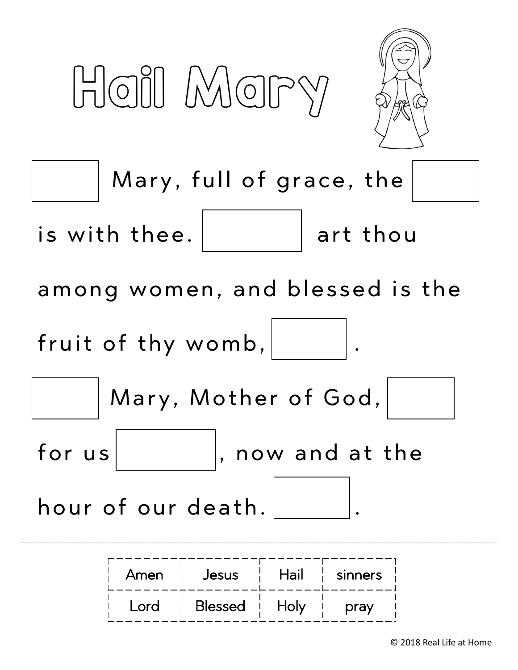